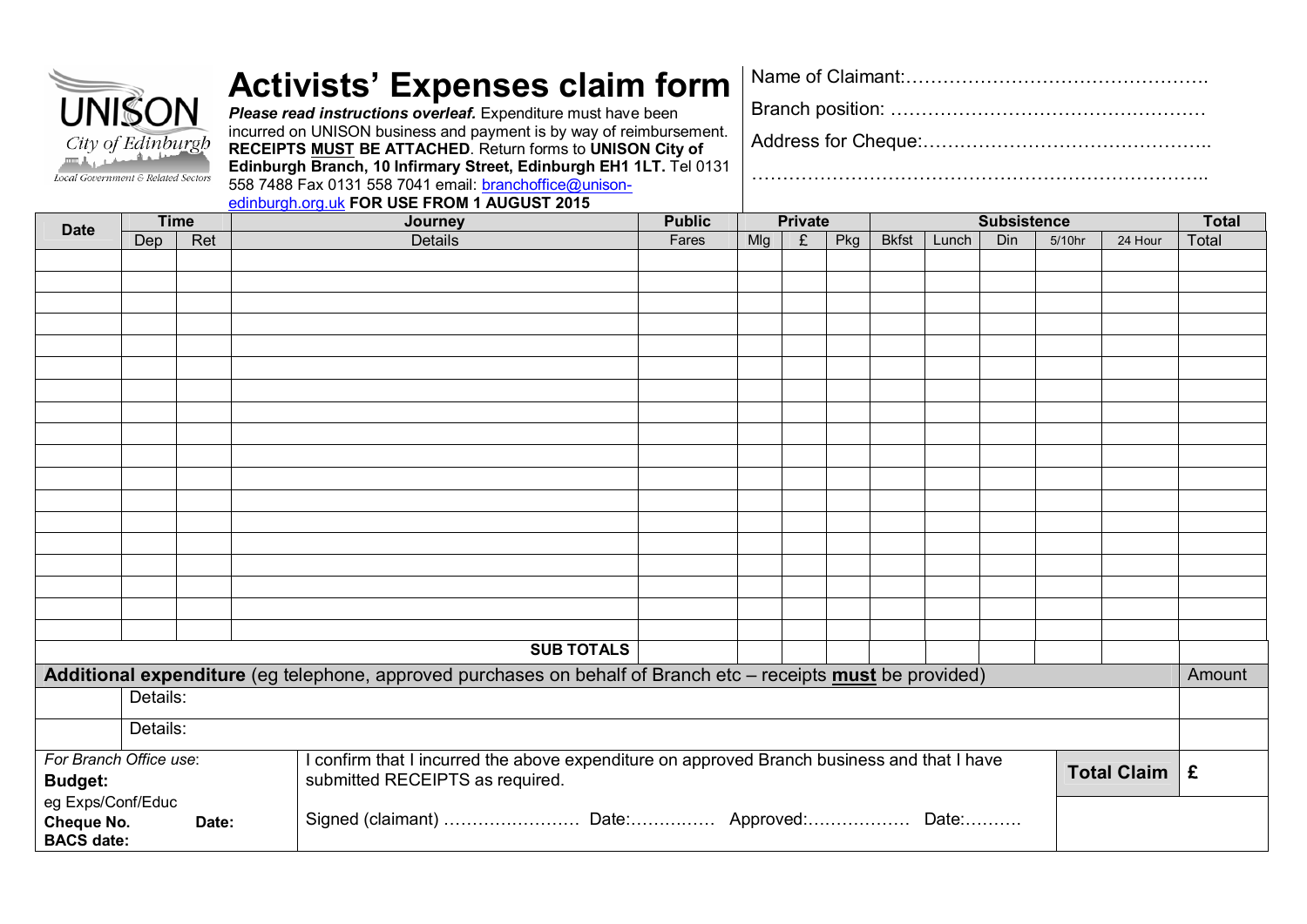| <b>UNISON</b><br>City of Edinburgh<br>Local Government & Related Sectors |             |       | <b>Activists' Expenses claim form</b><br>Please read instructions overleaf. Expenditure must have been<br>incurred on UNISON business and payment is by way of reimbursement.<br>RECEIPTS MUST BE ATTACHED. Return forms to UNISON City of<br>Edinburgh Branch, 10 Infirmary Street, Edinburgh EH1 1LT. Tel 0131<br>558 7488 Fax 0131 558 7041 email: branchoffice@unison-<br>edinburgh.org.uk FOR USE FROM 1 AUGUST 2015 |                                                                                                                                |                |  |                   |                                                                                                               |                |   |     |                    |       |            |        |                          |        |
|--------------------------------------------------------------------------|-------------|-------|---------------------------------------------------------------------------------------------------------------------------------------------------------------------------------------------------------------------------------------------------------------------------------------------------------------------------------------------------------------------------------------------------------------------------|--------------------------------------------------------------------------------------------------------------------------------|----------------|--|-------------------|---------------------------------------------------------------------------------------------------------------|----------------|---|-----|--------------------|-------|------------|--------|--------------------------|--------|
| <b>Date</b>                                                              | <b>Time</b> |       |                                                                                                                                                                                                                                                                                                                                                                                                                           | Journey                                                                                                                        |                |  |                   | <b>Public</b>                                                                                                 | <b>Private</b> |   |     | <b>Subsistence</b> |       |            |        | <b>Total</b>             |        |
|                                                                          | Dep         | Ret   |                                                                                                                                                                                                                                                                                                                                                                                                                           |                                                                                                                                | <b>Details</b> |  |                   | Fares                                                                                                         | Mlg            | £ | Pkg | <b>Bkfst</b>       | Lunch | <b>Din</b> | 5/10hr | 24 Hour                  | Total  |
|                                                                          |             |       |                                                                                                                                                                                                                                                                                                                                                                                                                           |                                                                                                                                |                |  |                   |                                                                                                               |                |   |     |                    |       |            |        |                          |        |
|                                                                          |             |       |                                                                                                                                                                                                                                                                                                                                                                                                                           |                                                                                                                                |                |  |                   |                                                                                                               |                |   |     |                    |       |            |        |                          |        |
|                                                                          |             |       |                                                                                                                                                                                                                                                                                                                                                                                                                           |                                                                                                                                |                |  | <b>SUB TOTALS</b> |                                                                                                               |                |   |     |                    |       |            |        |                          |        |
|                                                                          |             |       |                                                                                                                                                                                                                                                                                                                                                                                                                           |                                                                                                                                |                |  |                   | Additional expenditure (eg telephone, approved purchases on behalf of Branch etc - receipts must be provided) |                |   |     |                    |       |            |        |                          | Amount |
|                                                                          | Details:    |       |                                                                                                                                                                                                                                                                                                                                                                                                                           |                                                                                                                                |                |  |                   |                                                                                                               |                |   |     |                    |       |            |        |                          |        |
|                                                                          | Details:    |       |                                                                                                                                                                                                                                                                                                                                                                                                                           |                                                                                                                                |                |  |                   |                                                                                                               |                |   |     |                    |       |            |        |                          |        |
| For Branch Office use:<br><b>Budget:</b>                                 |             |       |                                                                                                                                                                                                                                                                                                                                                                                                                           | I confirm that I incurred the above expenditure on approved Branch business and that I have<br>submitted RECEIPTS as required. |                |  |                   |                                                                                                               |                |   |     |                    |       |            |        | Total Claim $\mathbf{E}$ |        |
| eg Exps/Conf/Educ<br><b>Cheque No.</b><br><b>BACS date:</b>              |             | Date: |                                                                                                                                                                                                                                                                                                                                                                                                                           |                                                                                                                                |                |  |                   | Signed (claimant)  Date: Approved: Date:                                                                      |                |   |     |                    |       |            |        |                          |        |